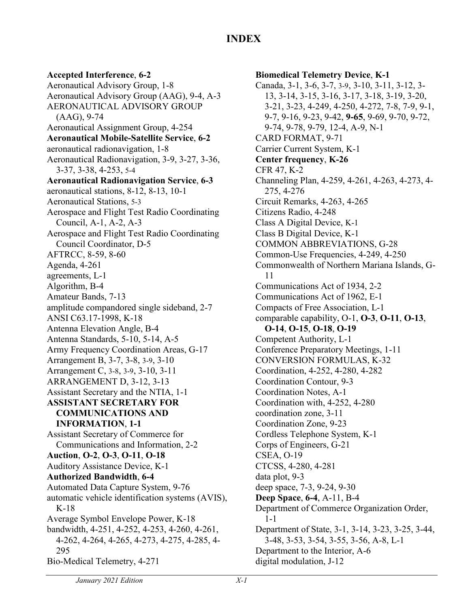## **XINDEX**

## **Accepted Interference**, **6-2**

Aeronautical Advisory Group, 1-8 Aeronautical Advisory Group (AAG), 9-4, A-3 AERONAUTICAL ADVISORY GROUP (AAG), 9-74 Aeronautical Assignment Group, 4-254 **Aeronautical Mobile-Satellite Service**, **6-2** aeronautical radionavigation, 1-8 Aeronautical Radionavigation, 3-9, 3-27, 3-36, 3-37, 3-38, 4-253, 5-4 **Aeronautical Radionavigation Service**, **6-3** aeronautical stations, 8-12, 8-13, 10-1 Aeronautical Stations, 5-3 Aerospace and Flight Test Radio Coordinating Council, A-1, A-2, A-3 Aerospace and Flight Test Radio Coordinating Council Coordinator, D-5 AFTRCC, 8-59, 8-60 Agenda, 4-261 agreements, L-1 Algorithm, B-4 Amateur Bands, 7-13 amplitude compandored single sideband, 2-7 ANSI C63.17-1998, K-18 Antenna Elevation Angle, B-4 Antenna Standards, 5-10, 5-14, A-5 Army Frequency Coordination Areas, G-17 Arrangement B, 3-7, 3-8, 3-9, 3-10 Arrangement C, 3-8, 3-9, 3-10, 3-11 ARRANGEMENT D, 3-12, 3-13 Assistant Secretary and the NTIA, 1-1 **ASSISTANT SECRETARY FOR COMMUNICATIONS AND INFORMATION**, **1-1** Assistant Secretary of Commerce for Communications and Information, 2-2 **Auction**, **O-2**, **O-3**, **O-11**, **O-18** Auditory Assistance Device, K-1 **Authorized Bandwidth**, **6-4** Automated Data Capture System, 9-76 automatic vehicle identification systems (AVIS), K-18 Average Symbol Envelope Power, K-18 bandwidth, 4-251, 4-252, 4-253, 4-260, 4-261, 4-262, 4-264, 4-265, 4-273, 4-275, 4-285, 4- 295 Bio-Medical Telemetry, 4-271

## **Biomedical Telemetry Device**, **K-1** Canada, 3-1, 3-6, 3-7, 3-9, 3-10, 3-11, 3-12, 3- 13, 3-14, 3-15, 3-16, 3-17, 3-18, 3-19, 3-20, 3-21, 3-23, 4-249, 4-250, 4-272, 7-8, 7-9, 9-1, 9-7, 9-16, 9-23, 9-42, **9-65**, 9-69, 9-70, 9-72, 9-74, 9-78, 9-79, 12-4, A-9, N-1 CARD FORMAT, 9-71 Carrier Current System, K-1 **Center frequency**, **K-26** CFR 47, K-2 Channeling Plan, 4-259, 4-261, 4-263, 4-273, 4- 275, 4-276 Circuit Remarks, 4-263, 4-265 Citizens Radio, 4-248 Class A Digital Device, K-1 Class B Digital Device, K-1 COMMON ABBREVIATIONS, G-28 Common-Use Frequencies, 4-249, 4-250 Commonwealth of Northern Mariana Islands, G-11 Communications Act of 1934, 2-2 Communications Act of 1962, E-1 Compacts of Free Association, L-1 comparable capability, O-1, **O-3**, **O-11**, **O-13**, **O-14**, **O-15**, **O-18**, **O-19** Competent Authority, L-1 Conference Preparatory Meetings, 1-11 CONVERSION FORMULAS, K-32 Coordination, 4-252, 4-280, 4-282 Coordination Contour, 9-3 Coordination Notes, A-1 Coordination with, 4-252, 4-280 coordination zone, 3-11 Coordination Zone, 9-23 Cordless Telephone System, K-1 Corps of Engineers, G-21 CSEA, O-19 CTCSS, 4-280, 4-281 data plot, 9-3 deep space, 7-3, 9-24, 9-30 **Deep Space**, **6-4**, A-11, B-4 Department of Commerce Organization Order, 1-1 Department of State, 3-1, 3-14, 3-23, 3-25, 3-44, 3-48, 3-53, 3-54, 3-55, 3-56, A-8, L-1 Department to the Interior, A-6

digital modulation, J-12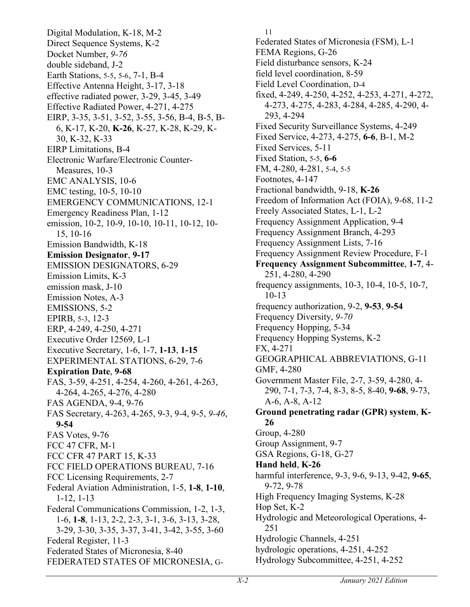Digital Modulation, K-18, M-2 Direct Sequence Systems, K-2 Docket Number, *9-76* double sideband, J-2 Earth Stations, 5-5, 5-6, 7-1, B-4 Effective Antenna Height, 3-17, 3-18 effective radiated power, 3-29, 3-45, 3-49 Effective Radiated Power, 4-271, 4-275 EIRP, 3-35, 3-51, 3-52, 3-55, 3-56, B-4, B-5, B-6, K-17, K-20, **K-26**, K-27, K-28, K-29, K-30, K-32, K-33 EIRP Limitations, B-4 Electronic Warfare/Electronic Counter-Measures, 10-3 EMC ANALYSIS, 10-6 EMC testing, 10-5, 10-10 EMERGENCY COMMUNICATIONS, 12-1 Emergency Readiness Plan, 1-12 emission, 10-2, 10-9, 10-10, 10-11, 10-12, 10- 15, 10-16 Emission Bandwidth, K-18 **Emission Designator**, **9-17** EMISSION DESIGNATORS, 6-29 Emission Limits, K-3 emission mask, J-10 Emission Notes, A-3 EMISSIONS, 5-2 EPIRB, 5-3, 12-3 ERP, 4-249, 4-250, 4-271 Executive Order 12569, L-1 Executive Secretary, 1-6, 1-7, **1-13**, **1-15** EXPERIMENTAL STATIONS, 6-29, 7-6 **Expiration Date**, **9-68** FAS, 3-59, 4-251, 4-254, 4-260, 4-261, 4-263, 4-264, 4-265, 4-276, 4-280 FAS AGENDA, 9-4, 9-76 FAS Secretary, 4-263, 4-265, 9-3, 9-4, 9-5, *9-46*, **9-54** FAS Votes, 9-76 FCC 47 CFR, M-1 FCC CFR 47 PART 15, K-33 FCC FIELD OPERATIONS BUREAU, 7-16 FCC Licensing Requirements, 2-7 Federal Aviation Administration, 1-5, **1-8**, **1-10**, 1-12, 1-13 Federal Communications Commission, 1-2, 1-3, 1-6, **1-8**, 1-13, 2-2, 2-3, 3-1, 3-6, 3-13, 3-28, 3-29, 3-30, 3-35, 3-37, 3-41, 3-42, 3-55, 3-60 Federal Register, 11-3 Federated States of Micronesia, 8-40 FEDERATED STATES OF MICRONESIA, G-

11 Federated States of Micronesia (FSM), L-1 FEMA Regions, G-26 Field disturbance sensors, K-24 field level coordination, 8-59 Field Level Coordination, D-4 fixed, 4-249, 4-250, 4-252, 4-253, 4-271, 4-272, 4-273, 4-275, 4-283, 4-284, 4-285, 4-290, 4- 293, 4-294 Fixed Security Surveillance Systems, 4-249 Fixed Service, 4-273, 4-275, **6-6**, B-1, M-2 Fixed Services, 5-11 Fixed Station, 5-5, **6-6** FM, 4-280, 4-281, 5-4, 5-5 Footnotes, 4-147 Fractional bandwidth, 9-18, **K-26** Freedom of Information Act (FOIA), 9-68, 11-2 Freely Associated States, L-1, L-2 Frequency Assignment Application, 9-4 Frequency Assignment Branch, 4-293 Frequency Assignment Lists, 7-16 Frequency Assignment Review Procedure, F-1 **Frequency Assignment Subcommittee**, **1-7**, 4- 251, 4-280, 4-290 frequency assignments, 10-3, 10-4, 10-5, 10-7, 10-13 frequency authorization, 9-2, **9-53**, **9-54** Frequency Diversity, *9-70* Frequency Hopping, 5-34 Frequency Hopping Systems, K-2 FX, 4-271 GEOGRAPHICAL ABBREVIATIONS, G-11 GMF, 4-280 Government Master File, 2-7, 3-59, 4-280, 4- 290, 7-1, 7-3, 7-4, 8-3, 8-5, 8-40, **9-68**, 9-73, A-6, A-8, A-12 **Ground penetrating radar (GPR) system**, **K-26** Group, 4-280 Group Assignment, 9-7 GSA Regions, G-18, G-27 **Hand held**, **K-26** harmful interference, 9-3, 9-6, 9-13, 9-42, **9-65**, 9-72, 9-78 High Frequency Imaging Systems, K-28 Hop Set, K-2 Hydrologic and Meteorological Operations, 4- 251 Hydrologic Channels, 4-251 hydrologic operations, 4-251, 4-252 Hydrology Subcommittee, 4-251, 4-252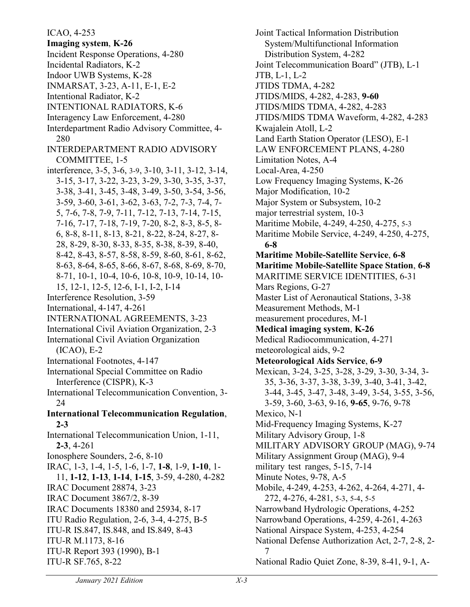ICAO, 4-253 **Imaging system**, **K-26** Incident Response Operations, 4-280 Incidental Radiators, K-2 Indoor UWB Systems, K-28 INMARSAT, 3-23, A-11, E-1, E-2 Intentional Radiator, K-2 INTENTIONAL RADIATORS, K-6 Interagency Law Enforcement, 4-280 Interdepartment Radio Advisory Committee, 4- 280 INTERDEPARTMENT RADIO ADVISORY COMMITTEE, 1-5 interference, 3-5, 3-6, 3-9, 3-10, 3-11, 3-12, 3-14, 3-15, 3-17, 3-22, 3-23, 3-29, 3-30, 3-35, 3-37, 3-38, 3-41, 3-45, 3-48, 3-49, 3-50, 3-54, 3-56, 3-59, 3-60, 3-61, 3-62, 3-63, 7-2, 7-3, 7-4, 7- 5, 7-6, 7-8, 7-9, 7-11, 7-12, 7-13, 7-14, 7-15, 7-16, 7-17, 7-18, 7-19, 7-20, 8-2, 8-3, 8-5, 8- 6, 8-8, 8-11, 8-13, 8-21, 8-22, 8-24, 8-27, 8- 28, 8-29, 8-30, 8-33, 8-35, 8-38, 8-39, 8-40, 8-42, 8-43, 8-57, 8-58, 8-59, 8-60, 8-61, 8-62, 8-63, 8-64, 8-65, 8-66, 8-67, 8-68, 8-69, 8-70, 8-71, 10-1, 10-4, 10-6, 10-8, 10-9, 10-14, 10- 15, 12-1, 12-5, 12-6, I-1, I-2, I-14 Interference Resolution, 3-59 International, 4-147, 4-261 INTERNATIONAL AGREEMENTS, 3-23 International Civil Aviation Organization, 2-3 International Civil Aviation Organization (ICAO), E-2 International Footnotes, 4-147 International Special Committee on Radio Interference (CISPR), K-3 International Telecommunication Convention, 3- 24 **International Telecommunication Regulation**, **2-3** International Telecommunication Union, 1-11, **2-3**, 4-261 Ionosphere Sounders, 2-6, 8-10 IRAC, 1-3, 1-4, 1-5, 1-6, 1-7, **1-8**, 1-9, **1-10**, 1- 11, **1-12**, **1-13**, **1-14**, **1-15**, 3-59, 4-280, 4-282 IRAC Document 28874, 3-23 IRAC Document 3867/2, 8-39 IRAC Documents 18380 and 25934, 8-17 ITU Radio Regulation, 2-6, 3-4, 4-275, B-5 ITU-R IS.847, IS.848, and IS.849, 8-43 ITU-R M.1173, 8-16 ITU-R Report 393 (1990), B-1 ITU-R SF.765, 8-22

Joint Tactical Information Distribution System/Multifunctional Information Distribution System, 4-282 Joint Telecommunication Board" (JTB), L-1 JTB, L-1, L-2 JTIDS TDMA, 4-282 JTIDS/MIDS, 4-282, 4-283, **9-60** JTIDS/MIDS TDMA, 4-282, 4-283 JTIDS/MIDS TDMA Waveform, 4-282, 4-283 Kwajalein Atoll, L-2 Land Earth Station Operator (LESO), E-1 LAW ENFORCEMENT PLANS, 4-280 Limitation Notes, A-4 Local-Area, 4-250 Low Frequency Imaging Systems, K-26 Major Modification, 10-2 Major System or Subsystem, 10-2 major terrestrial system, 10-3 Maritime Mobile, 4-249, 4-250, 4-275, 5-3 Maritime Mobile Service, 4-249, 4-250, 4-275, **6-8 Maritime Mobile-Satellite Service**, **6-8 Maritime Mobile-Satellite Space Station**, **6-8** MARITIME SERVICE IDENTITIES, 6-31 Mars Regions, G-27 Master List of Aeronautical Stations, 3-38 Measurement Methods, M-1 measurement procedures, M-1 **Medical imaging system**, **K-26** Medical Radiocommunication, 4-271 meteorological aids, 9-2 **Meteorological Aids Service**, **6-9** Mexican, 3-24, 3-25, 3-28, 3-29, 3-30, 3-34, 3- 35, 3-36, 3-37, 3-38, 3-39, 3-40, 3-41, 3-42, 3-44, 3-45, 3-47, 3-48, 3-49, 3-54, 3-55, 3-56, 3-59, 3-60, 3-63, 9-16, **9-65**, 9-76, 9-78 Mexico, N-1 Mid-Frequency Imaging Systems, K-27 Military Advisory Group, 1-8 MILITARY ADVISORY GROUP (MAG), 9-74 Military Assignment Group (MAG), 9-4 military test ranges, 5-15, 7-14 Minute Notes, 9-78, A-5 Mobile, 4-249, 4-253, 4-262, 4-264, 4-271, 4- 272, 4-276, 4-281, 5-3, 5-4, 5-5 Narrowband Hydrologic Operations, 4-252 Narrowband Operations, 4-259, 4-261, 4-263 National Airspace System, 4-253, 4-254 National Defense Authorization Act, 2-7, 2-8, 2- 7 National Radio Quiet Zone, 8-39, 8-41, 9-1, A-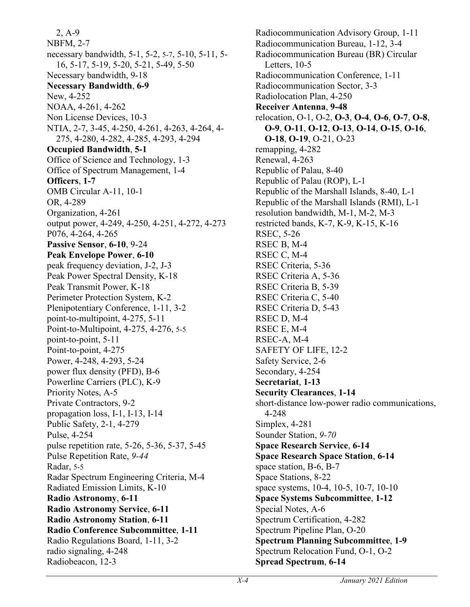2, A-9 NBFM, 2-7 necessary bandwidth, 5-1, 5-2, 5-7, 5-10, 5-11, 5- 16, 5-17, 5-19, 5-20, 5-21, 5-49, 5-50 Necessary bandwidth, 9-18 **Necessary Bandwidth**, **6-9** New, 4-252 NOAA, 4-261, 4-262 Non License Devices, 10-3 NTIA, 2-7, 3-45, 4-250, 4-261, 4-263, 4-264, 4- 275, 4-280, 4-282, 4-285, 4-293, 4-294 **Occupied Bandwidth**, **5-1** Office of Science and Technology, 1-3 Office of Spectrum Management, 1-4 **Officers**, **1-7** OMB Circular A-11, 10-1 OR, 4-289 Organization, 4-261 output power, 4-249, 4-250, 4-251, 4-272, 4-273 P076, 4-264, 4-265 **Passive Sensor**, **6-10**, 9-24 **Peak Envelope Power**, **6-10** peak frequency deviation, J-2, J-3 Peak Power Spectral Density, K-18 Peak Transmit Power, K-18 Perimeter Protection System, K-2 Plenipotentiary Conference, 1-11, 3-2 point-to-multipoint, 4-275, 5-11 Point-to-Multipoint, 4-275, 4-276, 5-5 point-to-point, 5-11 Point-to-point, 4-275 Power, 4-248, 4-293, 5-24 power flux density (PFD), B-6 Powerline Carriers (PLC), K-9 Priority Notes, A-5 Private Contractors, 9-2 propagation loss, I-1, I-13, I-14 Public Safety, 2-1, 4-279 Pulse, 4-254 pulse repetition rate, 5-26, 5-36, 5-37, 5-45 Pulse Repetition Rate, *9-44* Radar, 5-5 Radar Spectrum Engineering Criteria, M-4 Radiated Emission Limits, K-10 **Radio Astronomy**, **6-11 Radio Astronomy Service**, **6-11 Radio Astronomy Station**, **6-11 Radio Conference Subcommittee**, **1-11** Radio Regulations Board, 1-11, 3-2 radio signaling, 4-248 Radiobeacon, 12-3

Radiocommunication Advisory Group, 1-11 Radiocommunication Bureau, 1-12, 3-4 Radiocommunication Bureau (BR) Circular Letters, 10-5 Radiocommunication Conference, 1-11 Radiocommunication Sector, 3-3 Radiolocation Plan, 4-250 **Receiver Antenna**, **9-48** relocation, O-1, O-2, **O-3**, **O-4**, **O-6**, **O-7**, **O-8**, **O-9**, **O-11**, **O-12**, **O-13**, **O-14**, **O-15**, **O-16**, **O-18**, **O-19**, O-21, O-23 remapping, 4-282 Renewal, 4-263 Republic of Palau, 8-40 Republic of Palau (ROP), L-1 Republic of the Marshall Islands, 8-40, L-1 Republic of the Marshall Islands (RMI), L-1 resolution bandwidth, M-1, M-2, M-3 restricted bands, K-7, K-9, K-15, K-16 RSEC, 5-26 RSEC B, M-4 RSEC C, M-4 RSEC Criteria, 5-36 RSEC Criteria A, 5-36 RSEC Criteria B, 5-39 RSEC Criteria C, 5-40 RSEC Criteria D, 5-43 RSEC D, M-4 RSEC E, M-4 RSEC-A, M-4 SAFETY OF LIFE, 12-2 Safety Service, 2-6 Secondary, 4-254 **Secretariat**, **1-13 Security Clearances**, **1-14** short-distance low-power radio communications, 4-248 Simplex, 4-281 Sounder Station, *9-70* **Space Research Service**, **6-14 Space Research Space Station**, **6-14** space station, B-6, B-7 Space Stations, 8-22 space systems, 10-4, 10-5, 10-7, 10-10 **Space Systems Subcommittee**, **1-12** Special Notes, A-6 Spectrum Certification, 4-282 Spectrum Pipeline Plan, O-20 **Spectrum Planning Subcommittee**, **1-9** Spectrum Relocation Fund, O-1, O-2 **Spread Spectrum**, **6-14**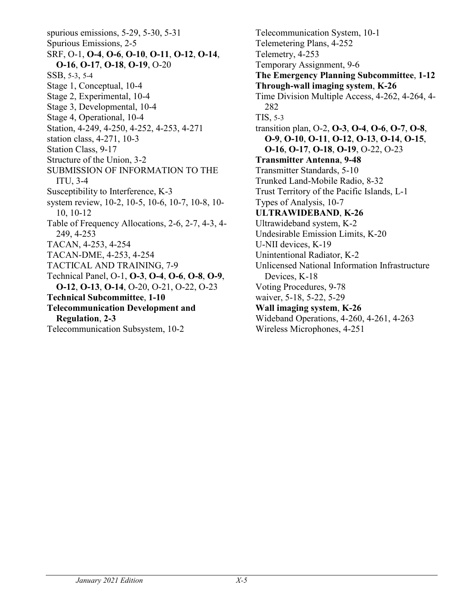spurious emissions, 5-29, 5-30, 5-31 Spurious Emissions, 2-5 SRF, O-1, **O-4**, **O-6**, **O-10**, **O-11**, **O-12**, **O-14**, **O-16**, **O-17**, **O-18**, **O-19**, O-20 SSB, 5-3, 5-4 Stage 1, Conceptual, 10-4 Stage 2, Experimental, 10-4 Stage 3, Developmental, 10-4 Stage 4, Operational, 10-4 Station, 4-249, 4-250, 4-252, 4-253, 4-271 station class, 4-271, 10-3 Station Class, 9-17 Structure of the Union, 3-2 SUBMISSION OF INFORMATION TO THE ITU, 3-4 Susceptibility to Interference, K-3 system review, 10-2, 10-5, 10-6, 10-7, 10-8, 10- 10, 10-12 Table of Frequency Allocations, 2-6, 2-7, 4-3, 4- 249, 4-253 TACAN, 4-253, 4-254 TACAN-DME, 4-253, 4-254 TACTICAL AND TRAINING, 7-9 Technical Panel, O-1, **O-3**, **O-4**, **O-6**, **O-8**, **O-9**, **O-12**, **O-13**, **O-14**, O-20, O-21, O-22, O-23 **Technical Subcommittee**, **1-10 Telecommunication Development and Regulation**, **2-3** Telecommunication Subsystem, 10-2

Telecommunication System, 10-1 Telemetering Plans, 4-252 Telemetry, 4-253 Temporary Assignment, 9-6 **The Emergency Planning Subcommittee**, **1-12 Through-wall imaging system**, **K-26** Time Division Multiple Access, 4-262, 4-264, 4- 282 TIS, 5-3 transition plan, O-2, **O-3**, **O-4**, **O-6**, **O-7**, **O-8**, **O-9**, **O-10**, **O-11**, **O-12**, **O-13**, **O-14**, **O-15**, **O-16**, **O-17**, **O-18**, **O-19**, O-22, O-23 **Transmitter Antenna**, **9-48** Transmitter Standards, 5-10 Trunked Land-Mobile Radio, 8-32 Trust Territory of the Pacific Islands, L-1 Types of Analysis, 10-7 **ULTRAWIDEBAND**, **K-26** Ultrawideband system, K-2 Undesirable Emission Limits, K-20 U-NII devices, K-19 Unintentional Radiator, K-2 Unlicensed National Information Infrastructure Devices, K-18 Voting Procedures, 9-78 waiver, 5-18, 5-22, 5-29 **Wall imaging system**, **K-26** Wideband Operations, 4-260, 4-261, 4-263 Wireless Microphones, 4-251